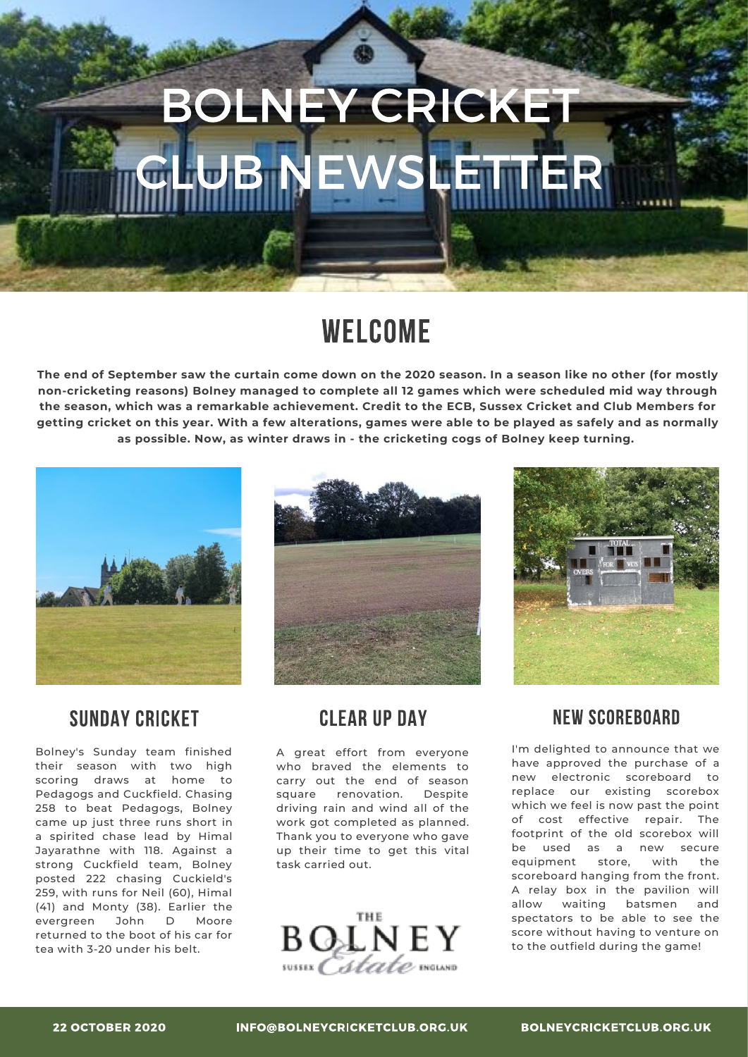# **BOLNEY CRICKET B NEWSLETTER**

# **WELCOME**

The end of September saw the curtain come down on the 2020 season. In a season like no other (for mostly **nonٌcricketing reasonsف Bolneɯ managed to complete all ׁׂ games which were scheduled mid waɯ through the seasonة which was a remarkable achievementخ Credit to the ECBة Sussex Cricket and Club Members for** getting cricket on this year. With a few alterations, games were able to be played as safely and as normally **as possibleخ Nowة as winter draws in ٌ the cricketing cogs of Bolneɯ keep turningخ**



### **SUNDAY CRICKET**

Bolney's Sunday team finished their season with two high scoring draws at home to Pedagogs and Cuckfield. Chasing 258 to beat Pedagogs, Bolney came up just three runs short in a spirited chase lead by Himal Jayarathne with 118. Against a strong Cuckfield team, Bolney posted 222 chasing Cuckield's 259, with runs for Neil (60), Himal (41) and Monty (38). Earlier the evergreen John D Moore returned to the boot of his car for tea with 3-20 under his belt.



### **CLEAR UP DAY**

A great effort from everyone who braved the elements to carry out the end of season square renovation. Despite driving rain and wind all of the work got completed as planned. Thank you to everyone who gave up their time to get this vital task carried out.



## **NEW SCOREBOARD**

I'm delighted to announce that we have approved the purchase of a new electronic scoreboard to replace our existing scorebox which we feel is now past the point of cost effective repair. The footprint of the old scorebox will be used as a new secure equipment store, with the scoreboard hanging from the front. A relay box in the pavilion will allow waiting batsmen and spectators to be able to see the score without having to venture on to the outfield during the game!

INFO@BOLNEYCRICKETCLUB.ORG.UK